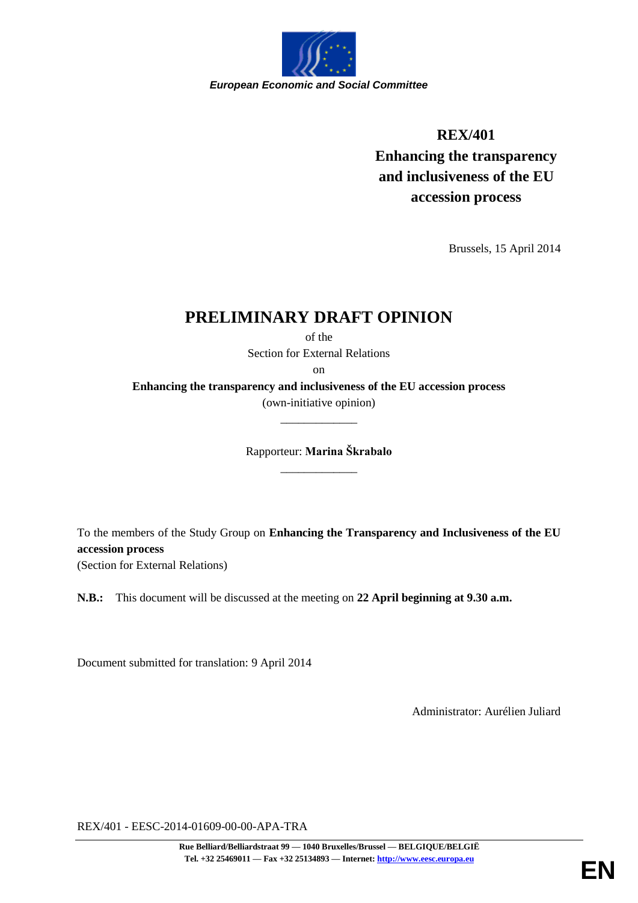

## **REX/401**

**Enhancing the transparency and inclusiveness of the EU accession process**

Brussels, 15 April 2014

# **PRELIMINARY DRAFT OPINION**

of the Section for External Relations

on

**Enhancing the transparency and inclusiveness of the EU accession process** (own-initiative opinion)

\_\_\_\_\_\_\_\_\_\_\_\_\_

Rapporteur: **Marina Škrabalo** \_\_\_\_\_\_\_\_\_\_\_\_\_

To the members of the Study Group on **Enhancing the Transparency and Inclusiveness of the EU accession process** (Section for External Relations)

**N.B.:** This document will be discussed at the meeting on **22 April beginning at 9.30 a.m.**

Document submitted for translation: 9 April 2014

Administrator: Aurélien Juliard

REX/401 - EESC-2014-01609-00-00-APA-TRA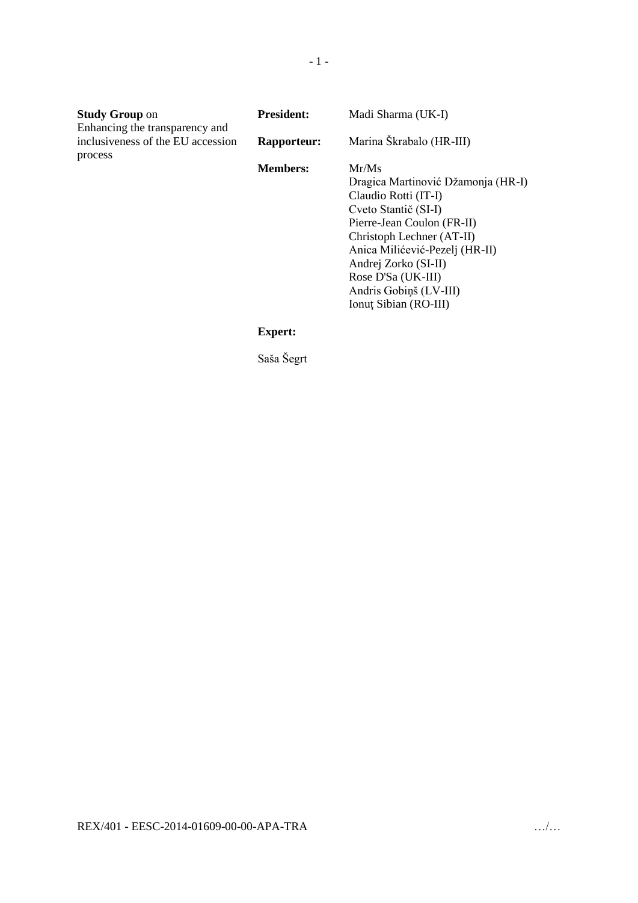| <b>Study Group on</b>                                               | <b>President:</b>  | Madi Sharma (UK-I)                                                                                                                                                                                                                                                                        |
|---------------------------------------------------------------------|--------------------|-------------------------------------------------------------------------------------------------------------------------------------------------------------------------------------------------------------------------------------------------------------------------------------------|
| Enhancing the transparency and<br>inclusiveness of the EU accession | <b>Rapporteur:</b> | Marina Škrabalo (HR-III)                                                                                                                                                                                                                                                                  |
| process                                                             | <b>Members:</b>    | Mr/Ms<br>Dragica Martinović Džamonja (HR-I)<br>Claudio Rotti (IT-I)<br>Cveto Stantič (SI-I)<br>Pierre-Jean Coulon (FR-II)<br>Christoph Lechner (AT-II)<br>Anica Milićević-Pezelj (HR-II)<br>Andrej Zorko (SI-II)<br>Rose D'Sa (UK-III)<br>Andris Gobiņš (LV-III)<br>Ionut Sibian (RO-III) |
|                                                                     | <b>Expert:</b>     |                                                                                                                                                                                                                                                                                           |

Saša Šegrt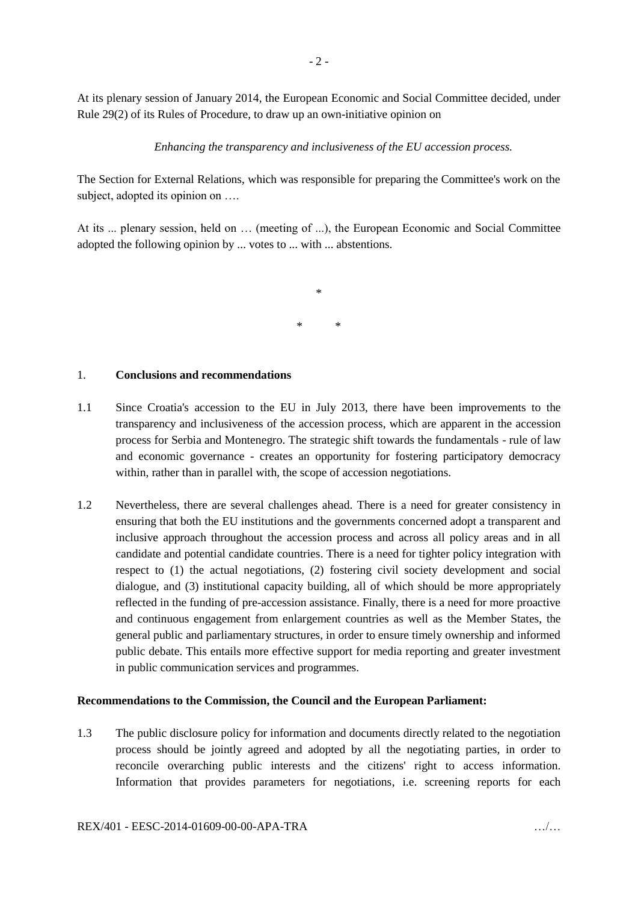At its plenary session of January 2014, the European Economic and Social Committee decided, under Rule 29(2) of its Rules of Procedure, to draw up an own-initiative opinion on

*Enhancing the transparency and inclusiveness of the EU accession process.*

The Section for External Relations, which was responsible for preparing the Committee's work on the subject, adopted its opinion on ...

At its ... plenary session, held on … (meeting of ...), the European Economic and Social Committee adopted the following opinion by ... votes to ... with ... abstentions.

> \* \* \*

### 1. **Conclusions and recommendations**

- 1.1 Since Croatia's accession to the EU in July 2013, there have been improvements to the transparency and inclusiveness of the accession process, which are apparent in the accession process for Serbia and Montenegro. The strategic shift towards the fundamentals - rule of law and economic governance - creates an opportunity for fostering participatory democracy within, rather than in parallel with, the scope of accession negotiations.
- 1.2 Nevertheless, there are several challenges ahead. There is a need for greater consistency in ensuring that both the EU institutions and the governments concerned adopt a transparent and inclusive approach throughout the accession process and across all policy areas and in all candidate and potential candidate countries. There is a need for tighter policy integration with respect to (1) the actual negotiations, (2) fostering civil society development and social dialogue, and (3) institutional capacity building, all of which should be more appropriately reflected in the funding of pre-accession assistance. Finally, there is a need for more proactive and continuous engagement from enlargement countries as well as the Member States, the general public and parliamentary structures, in order to ensure timely ownership and informed public debate. This entails more effective support for media reporting and greater investment in public communication services and programmes.

#### **Recommendations to the Commission, the Council and the European Parliament:**

1.3 The public disclosure policy for information and documents directly related to the negotiation process should be jointly agreed and adopted by all the negotiating parties, in order to reconcile overarching public interests and the citizens' right to access information. Information that provides parameters for negotiations, i.e. screening reports for each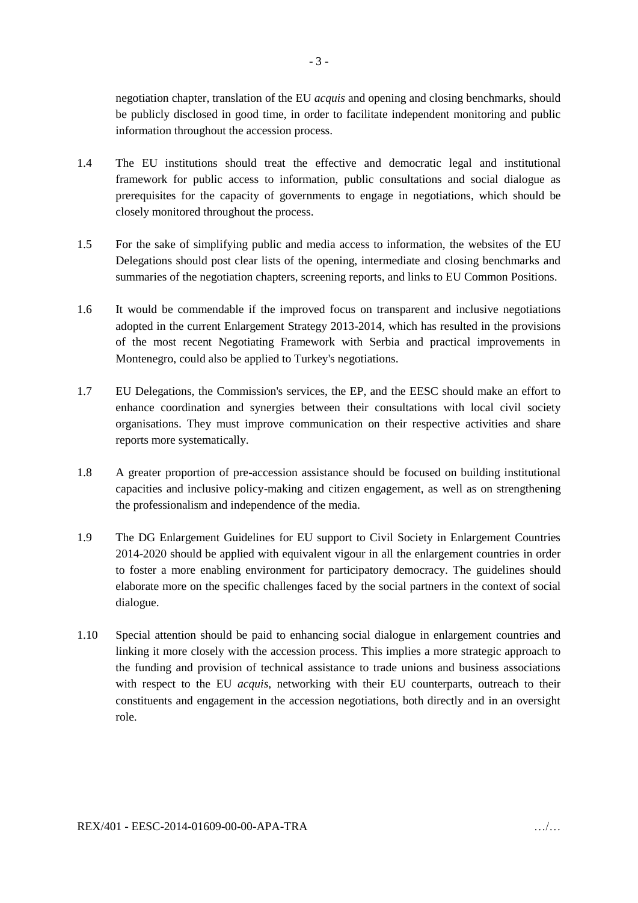negotiation chapter, translation of the EU *acquis* and opening and closing benchmarks, should be publicly disclosed in good time, in order to facilitate independent monitoring and public information throughout the accession process.

- 1.4 The EU institutions should treat the effective and democratic legal and institutional framework for public access to information, public consultations and social dialogue as prerequisites for the capacity of governments to engage in negotiations, which should be closely monitored throughout the process.
- 1.5 For the sake of simplifying public and media access to information, the websites of the EU Delegations should post clear lists of the opening, intermediate and closing benchmarks and summaries of the negotiation chapters, screening reports, and links to EU Common Positions.
- 1.6 It would be commendable if the improved focus on transparent and inclusive negotiations adopted in the current Enlargement Strategy 2013-2014, which has resulted in the provisions of the most recent Negotiating Framework with Serbia and practical improvements in Montenegro, could also be applied to Turkey's negotiations.
- 1.7 EU Delegations, the Commission's services, the EP, and the EESC should make an effort to enhance coordination and synergies between their consultations with local civil society organisations. They must improve communication on their respective activities and share reports more systematically.
- 1.8 A greater proportion of pre-accession assistance should be focused on building institutional capacities and inclusive policy-making and citizen engagement, as well as on strengthening the professionalism and independence of the media.
- 1.9 The DG Enlargement Guidelines for EU support to Civil Society in Enlargement Countries 2014-2020 should be applied with equivalent vigour in all the enlargement countries in order to foster a more enabling environment for participatory democracy. The guidelines should elaborate more on the specific challenges faced by the social partners in the context of social dialogue.
- 1.10 Special attention should be paid to enhancing social dialogue in enlargement countries and linking it more closely with the accession process. This implies a more strategic approach to the funding and provision of technical assistance to trade unions and business associations with respect to the EU *acquis*, networking with their EU counterparts, outreach to their constituents and engagement in the accession negotiations, both directly and in an oversight role.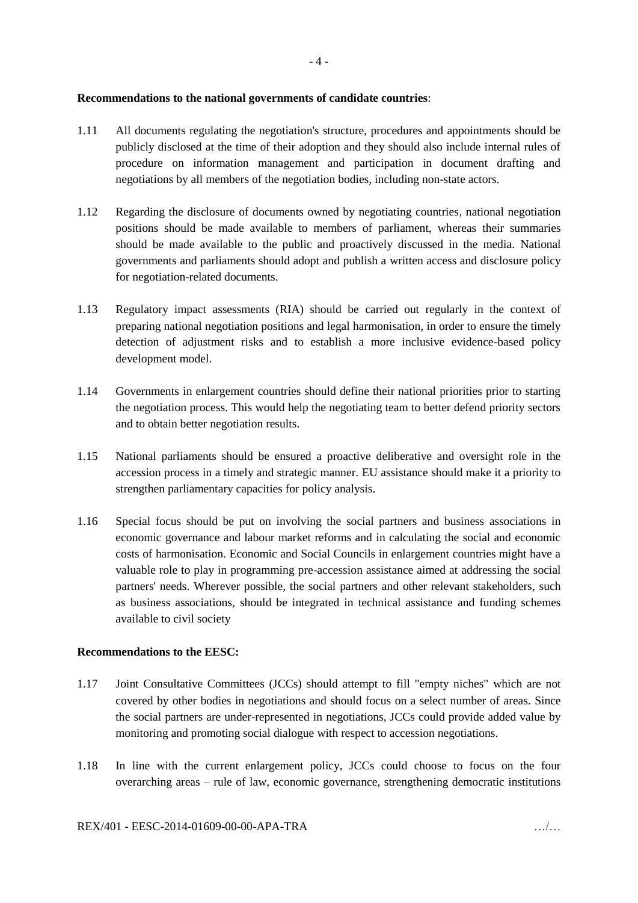#### **Recommendations to the national governments of candidate countries**:

- 1.11 All documents regulating the negotiation's structure, procedures and appointments should be publicly disclosed at the time of their adoption and they should also include internal rules of procedure on information management and participation in document drafting and negotiations by all members of the negotiation bodies, including non-state actors.
- 1.12 Regarding the disclosure of documents owned by negotiating countries, national negotiation positions should be made available to members of parliament, whereas their summaries should be made available to the public and proactively discussed in the media. National governments and parliaments should adopt and publish a written access and disclosure policy for negotiation-related documents.
- 1.13 Regulatory impact assessments (RIA) should be carried out regularly in the context of preparing national negotiation positions and legal harmonisation, in order to ensure the timely detection of adjustment risks and to establish a more inclusive evidence-based policy development model.
- 1.14 Governments in enlargement countries should define their national priorities prior to starting the negotiation process. This would help the negotiating team to better defend priority sectors and to obtain better negotiation results.
- 1.15 National parliaments should be ensured a proactive deliberative and oversight role in the accession process in a timely and strategic manner. EU assistance should make it a priority to strengthen parliamentary capacities for policy analysis.
- 1.16 Special focus should be put on involving the social partners and business associations in economic governance and labour market reforms and in calculating the social and economic costs of harmonisation. Economic and Social Councils in enlargement countries might have a valuable role to play in programming pre-accession assistance aimed at addressing the social partners' needs. Wherever possible, the social partners and other relevant stakeholders, such as business associations, should be integrated in technical assistance and funding schemes available to civil society

#### **Recommendations to the EESC:**

- 1.17 Joint Consultative Committees (JCCs) should attempt to fill "empty niches" which are not covered by other bodies in negotiations and should focus on a select number of areas. Since the social partners are under-represented in negotiations, JCCs could provide added value by monitoring and promoting social dialogue with respect to accession negotiations.
- 1.18 In line with the current enlargement policy, JCCs could choose to focus on the four overarching areas – rule of law, economic governance, strengthening democratic institutions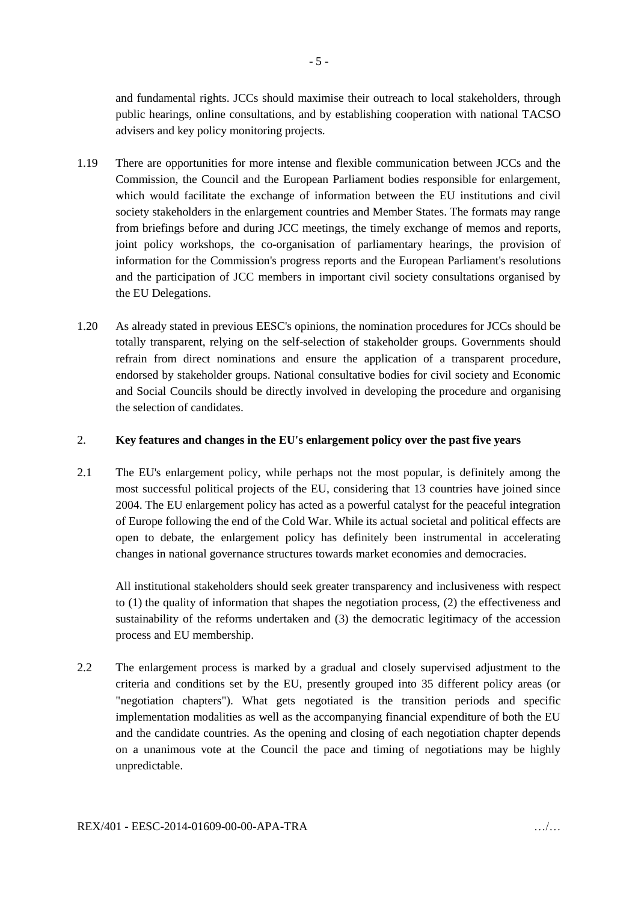and fundamental rights. JCCs should maximise their outreach to local stakeholders, through public hearings, online consultations, and by establishing cooperation with national TACSO advisers and key policy monitoring projects.

- 1.19 There are opportunities for more intense and flexible communication between JCCs and the Commission, the Council and the European Parliament bodies responsible for enlargement, which would facilitate the exchange of information between the EU institutions and civil society stakeholders in the enlargement countries and Member States. The formats may range from briefings before and during JCC meetings, the timely exchange of memos and reports, joint policy workshops, the co-organisation of parliamentary hearings, the provision of information for the Commission's progress reports and the European Parliament's resolutions and the participation of JCC members in important civil society consultations organised by the EU Delegations.
- 1.20 As already stated in previous EESC's opinions, the nomination procedures for JCCs should be totally transparent, relying on the self-selection of stakeholder groups. Governments should refrain from direct nominations and ensure the application of a transparent procedure, endorsed by stakeholder groups. National consultative bodies for civil society and Economic and Social Councils should be directly involved in developing the procedure and organising the selection of candidates.

#### 2. **Key features and changes in the EU's enlargement policy over the past five years**

2.1 The EU's enlargement policy, while perhaps not the most popular, is definitely among the most successful political projects of the EU, considering that 13 countries have joined since 2004. The EU enlargement policy has acted as a powerful catalyst for the peaceful integration of Europe following the end of the Cold War. While its actual societal and political effects are open to debate, the enlargement policy has definitely been instrumental in accelerating changes in national governance structures towards market economies and democracies.

All institutional stakeholders should seek greater transparency and inclusiveness with respect to (1) the quality of information that shapes the negotiation process, (2) the effectiveness and sustainability of the reforms undertaken and (3) the democratic legitimacy of the accession process and EU membership.

2.2 The enlargement process is marked by a gradual and closely supervised adjustment to the criteria and conditions set by the EU, presently grouped into 35 different policy areas (or "negotiation chapters"). What gets negotiated is the transition periods and specific implementation modalities as well as the accompanying financial expenditure of both the EU and the candidate countries. As the opening and closing of each negotiation chapter depends on a unanimous vote at the Council the pace and timing of negotiations may be highly unpredictable.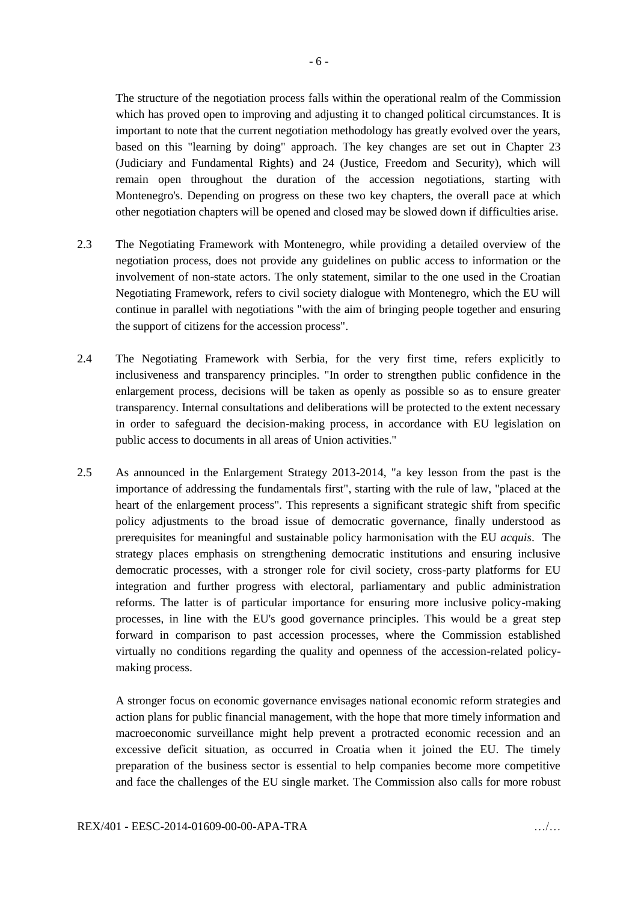The structure of the negotiation process falls within the operational realm of the Commission which has proved open to improving and adjusting it to changed political circumstances. It is important to note that the current negotiation methodology has greatly evolved over the years, based on this "learning by doing" approach. The key changes are set out in Chapter 23 (Judiciary and Fundamental Rights) and 24 (Justice, Freedom and Security), which will remain open throughout the duration of the accession negotiations, starting with Montenegro's. Depending on progress on these two key chapters, the overall pace at which other negotiation chapters will be opened and closed may be slowed down if difficulties arise.

- 2.3 The Negotiating Framework with Montenegro, while providing a detailed overview of the negotiation process, does not provide any guidelines on public access to information or the involvement of non-state actors. The only statement, similar to the one used in the Croatian Negotiating Framework, refers to civil society dialogue with Montenegro, which the EU will continue in parallel with negotiations "with the aim of bringing people together and ensuring the support of citizens for the accession process".
- 2.4 The Negotiating Framework with Serbia, for the very first time, refers explicitly to inclusiveness and transparency principles. "In order to strengthen public confidence in the enlargement process, decisions will be taken as openly as possible so as to ensure greater transparency. Internal consultations and deliberations will be protected to the extent necessary in order to safeguard the decision-making process, in accordance with EU legislation on public access to documents in all areas of Union activities."
- 2.5 As announced in the Enlargement Strategy 2013-2014, "a key lesson from the past is the importance of addressing the fundamentals first", starting with the rule of law, "placed at the heart of the enlargement process". This represents a significant strategic shift from specific policy adjustments to the broad issue of democratic governance, finally understood as prerequisites for meaningful and sustainable policy harmonisation with the EU *acquis*. The strategy places emphasis on strengthening democratic institutions and ensuring inclusive democratic processes, with a stronger role for civil society, cross-party platforms for EU integration and further progress with electoral, parliamentary and public administration reforms. The latter is of particular importance for ensuring more inclusive policy-making processes, in line with the EU's good governance principles. This would be a great step forward in comparison to past accession processes, where the Commission established virtually no conditions regarding the quality and openness of the accession-related policymaking process.

A stronger focus on economic governance envisages national economic reform strategies and action plans for public financial management, with the hope that more timely information and macroeconomic surveillance might help prevent a protracted economic recession and an excessive deficit situation, as occurred in Croatia when it joined the EU. The timely preparation of the business sector is essential to help companies become more competitive and face the challenges of the EU single market. The Commission also calls for more robust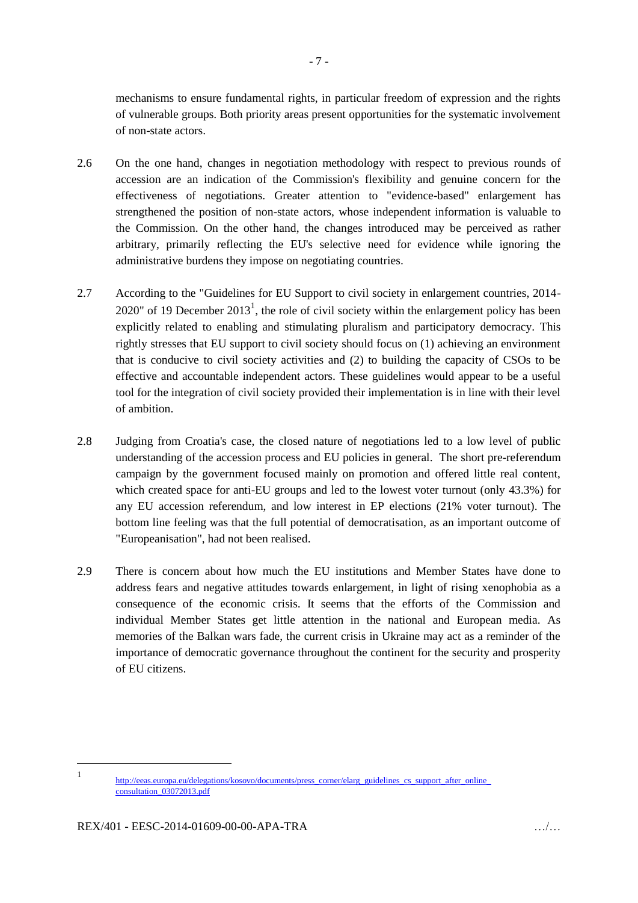mechanisms to ensure fundamental rights, in particular freedom of expression and the rights of vulnerable groups. Both priority areas present opportunities for the systematic involvement of non-state actors.

- 2.6 On the one hand, changes in negotiation methodology with respect to previous rounds of accession are an indication of the Commission's flexibility and genuine concern for the effectiveness of negotiations. Greater attention to "evidence-based" enlargement has strengthened the position of non-state actors, whose independent information is valuable to the Commission. On the other hand, the changes introduced may be perceived as rather arbitrary, primarily reflecting the EU's selective need for evidence while ignoring the administrative burdens they impose on negotiating countries.
- 2.7 According to the "Guidelines for EU Support to civil society in enlargement countries, 2014- 2020" of 19 December 2013<sup>1</sup>, the role of civil society within the enlargement policy has been explicitly related to enabling and stimulating pluralism and participatory democracy. This rightly stresses that EU support to civil society should focus on (1) achieving an environment that is conducive to civil society activities and (2) to building the capacity of CSOs to be effective and accountable independent actors. These guidelines would appear to be a useful tool for the integration of civil society provided their implementation is in line with their level of ambition.
- 2.8 Judging from Croatia's case, the closed nature of negotiations led to a low level of public understanding of the accession process and EU policies in general. The short pre-referendum campaign by the government focused mainly on promotion and offered little real content, which created space for anti-EU groups and led to the lowest voter turnout (only 43.3%) for any EU accession referendum, and low interest in EP elections (21% voter turnout). The bottom line feeling was that the full potential of democratisation, as an important outcome of "Europeanisation", had not been realised.
- 2.9 There is concern about how much the EU institutions and Member States have done to address fears and negative attitudes towards enlargement, in light of rising xenophobia as a consequence of the economic crisis. It seems that the efforts of the Commission and individual Member States get little attention in the national and European media. As memories of the Balkan wars fade, the current crisis in Ukraine may act as a reminder of the importance of democratic governance throughout the continent for the security and prosperity of EU citizens.

1

<sup>1</sup> http://eeas.europa.eu/delegations/kosovo/documents/press\_corner/elarg\_guidelines\_cs\_support\_after\_online\_ [consultation\\_03072013.pdf](http://eeas.europa.eu/delegations/kosovo/documents/press_corner/elarg_guidelines_cs_support_after_online_%20consultation_03072013.pdf)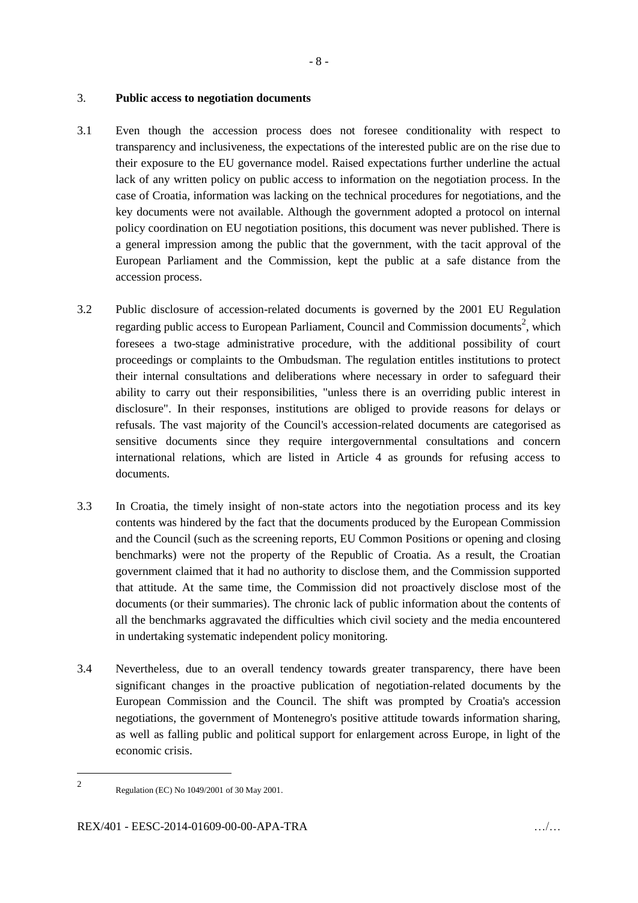#### 3. **Public access to negotiation documents**

- 3.1 Even though the accession process does not foresee conditionality with respect to transparency and inclusiveness, the expectations of the interested public are on the rise due to their exposure to the EU governance model. Raised expectations further underline the actual lack of any written policy on public access to information on the negotiation process. In the case of Croatia, information was lacking on the technical procedures for negotiations, and the key documents were not available. Although the government adopted a protocol on internal policy coordination on EU negotiation positions, this document was never published. There is a general impression among the public that the government, with the tacit approval of the European Parliament and the Commission, kept the public at a safe distance from the accession process.
- 3.2 Public disclosure of accession-related documents is governed by the 2001 EU Regulation regarding public access to European Parliament, Council and Commission documents<sup>2</sup>, which foresees a two-stage administrative procedure, with the additional possibility of court proceedings or complaints to the Ombudsman. The regulation entitles institutions to protect their internal consultations and deliberations where necessary in order to safeguard their ability to carry out their responsibilities, "unless there is an overriding public interest in disclosure". In their responses, institutions are obliged to provide reasons for delays or refusals. The vast majority of the Council's accession-related documents are categorised as sensitive documents since they require intergovernmental consultations and concern international relations, which are listed in Article 4 as grounds for refusing access to documents.
- 3.3 In Croatia, the timely insight of non-state actors into the negotiation process and its key contents was hindered by the fact that the documents produced by the European Commission and the Council (such as the screening reports, EU Common Positions or opening and closing benchmarks) were not the property of the Republic of Croatia. As a result, the Croatian government claimed that it had no authority to disclose them, and the Commission supported that attitude. At the same time, the Commission did not proactively disclose most of the documents (or their summaries). The chronic lack of public information about the contents of all the benchmarks aggravated the difficulties which civil society and the media encountered in undertaking systematic independent policy monitoring.
- 3.4 Nevertheless, due to an overall tendency towards greater transparency, there have been significant changes in the proactive publication of negotiation-related documents by the European Commission and the Council. The shift was prompted by Croatia's accession negotiations, the government of Montenegro's positive attitude towards information sharing, as well as falling public and political support for enlargement across Europe, in light of the economic crisis.

-2

Regulation (EC) No 1049/2001 of 30 May 2001.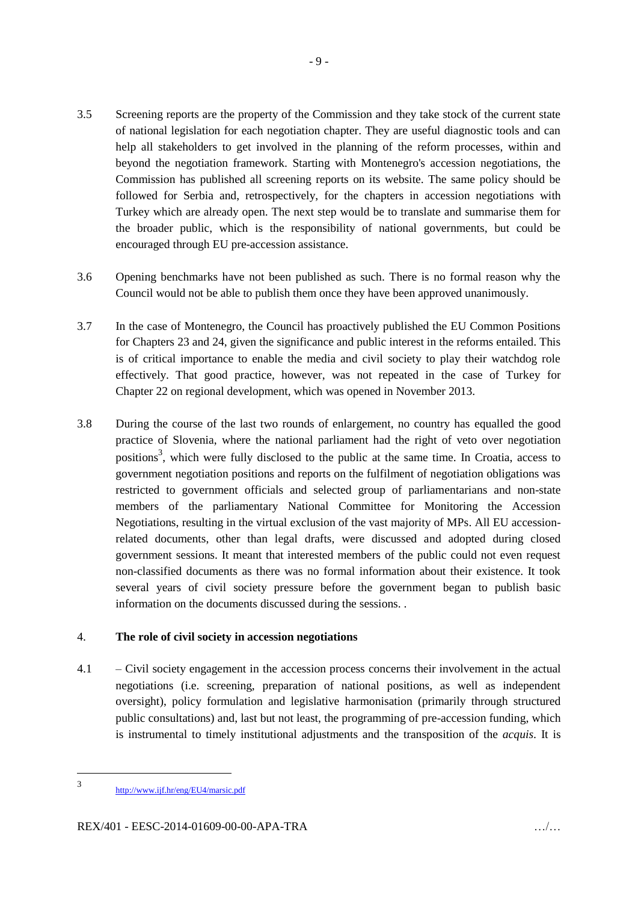- 3.5 Screening reports are the property of the Commission and they take stock of the current state of national legislation for each negotiation chapter. They are useful diagnostic tools and can help all stakeholders to get involved in the planning of the reform processes, within and beyond the negotiation framework. Starting with Montenegro's accession negotiations, the Commission has published all screening reports on its website. The same policy should be followed for Serbia and, retrospectively, for the chapters in accession negotiations with Turkey which are already open. The next step would be to translate and summarise them for the broader public, which is the responsibility of national governments, but could be encouraged through EU pre-accession assistance.
- 3.6 Opening benchmarks have not been published as such. There is no formal reason why the Council would not be able to publish them once they have been approved unanimously.
- 3.7 In the case of Montenegro, the Council has proactively published the EU Common Positions for Chapters 23 and 24, given the significance and public interest in the reforms entailed. This is of critical importance to enable the media and civil society to play their watchdog role effectively. That good practice, however, was not repeated in the case of Turkey for Chapter 22 on regional development, which was opened in November 2013.
- 3.8 During the course of the last two rounds of enlargement, no country has equalled the good practice of Slovenia, where the national parliament had the right of veto over negotiation positions<sup>3</sup>, which were fully disclosed to the public at the same time. In Croatia, access to government negotiation positions and reports on the fulfilment of negotiation obligations was restricted to government officials and selected group of parliamentarians and non-state members of the parliamentary National Committee for Monitoring the Accession Negotiations, resulting in the virtual exclusion of the vast majority of MPs. All EU accessionrelated documents, other than legal drafts, were discussed and adopted during closed government sessions. It meant that interested members of the public could not even request non-classified documents as there was no formal information about their existence. It took several years of civil society pressure before the government began to publish basic information on the documents discussed during the sessions. .

#### 4. **The role of civil society in accession negotiations**

4.1 – Civil society engagement in the accession process concerns their involvement in the actual negotiations (i.e. screening, preparation of national positions, as well as independent oversight), policy formulation and legislative harmonisation (primarily through structured public consultations) and, last but not least, the programming of pre-accession funding, which is instrumental to timely institutional adjustments and the transposition of the *acquis*. It is

-

<sup>3</sup> <http://www.ijf.hr/eng/EU4/marsic.pdf>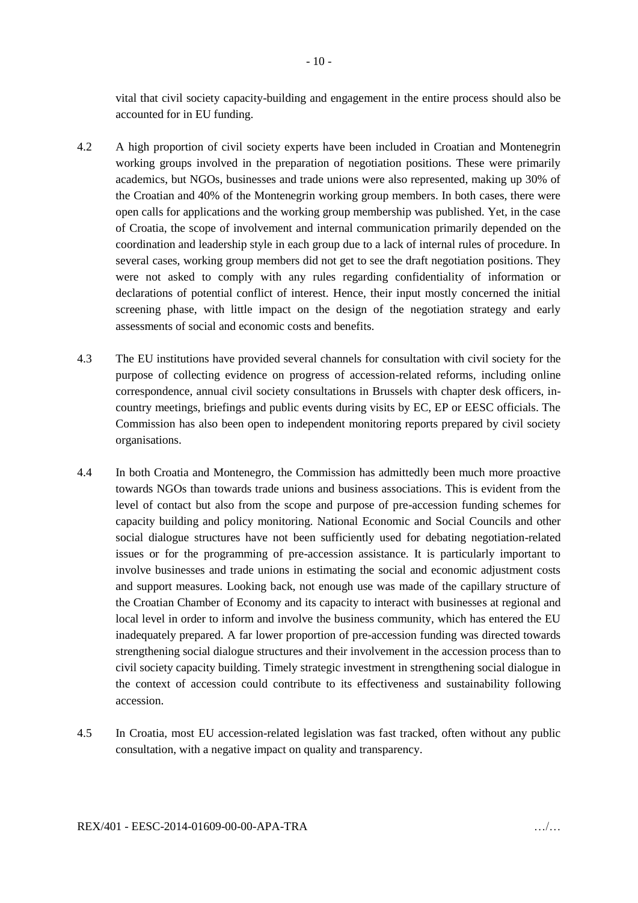vital that civil society capacity-building and engagement in the entire process should also be accounted for in EU funding.

- 4.2 A high proportion of civil society experts have been included in Croatian and Montenegrin working groups involved in the preparation of negotiation positions. These were primarily academics, but NGOs, businesses and trade unions were also represented, making up 30% of the Croatian and 40% of the Montenegrin working group members. In both cases, there were open calls for applications and the working group membership was published. Yet, in the case of Croatia, the scope of involvement and internal communication primarily depended on the coordination and leadership style in each group due to a lack of internal rules of procedure. In several cases, working group members did not get to see the draft negotiation positions. They were not asked to comply with any rules regarding confidentiality of information or declarations of potential conflict of interest. Hence, their input mostly concerned the initial screening phase, with little impact on the design of the negotiation strategy and early assessments of social and economic costs and benefits.
- 4.3 The EU institutions have provided several channels for consultation with civil society for the purpose of collecting evidence on progress of accession-related reforms, including online correspondence, annual civil society consultations in Brussels with chapter desk officers, incountry meetings, briefings and public events during visits by EC, EP or EESC officials. The Commission has also been open to independent monitoring reports prepared by civil society organisations.
- 4.4 In both Croatia and Montenegro, the Commission has admittedly been much more proactive towards NGOs than towards trade unions and business associations. This is evident from the level of contact but also from the scope and purpose of pre-accession funding schemes for capacity building and policy monitoring. National Economic and Social Councils and other social dialogue structures have not been sufficiently used for debating negotiation-related issues or for the programming of pre-accession assistance. It is particularly important to involve businesses and trade unions in estimating the social and economic adjustment costs and support measures. Looking back, not enough use was made of the capillary structure of the Croatian Chamber of Economy and its capacity to interact with businesses at regional and local level in order to inform and involve the business community, which has entered the EU inadequately prepared. A far lower proportion of pre-accession funding was directed towards strengthening social dialogue structures and their involvement in the accession process than to civil society capacity building. Timely strategic investment in strengthening social dialogue in the context of accession could contribute to its effectiveness and sustainability following accession.
- 4.5 In Croatia, most EU accession-related legislation was fast tracked, often without any public consultation, with a negative impact on quality and transparency.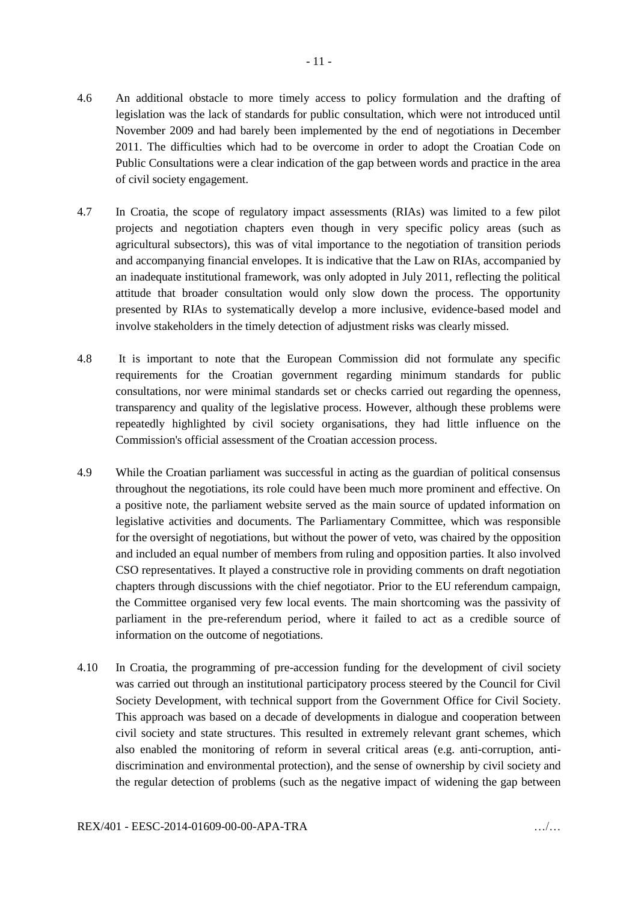- 4.6 An additional obstacle to more timely access to policy formulation and the drafting of legislation was the lack of standards for public consultation, which were not introduced until November 2009 and had barely been implemented by the end of negotiations in December 2011. The difficulties which had to be overcome in order to adopt the Croatian Code on Public Consultations were a clear indication of the gap between words and practice in the area of civil society engagement.
- 4.7 In Croatia, the scope of regulatory impact assessments (RIAs) was limited to a few pilot projects and negotiation chapters even though in very specific policy areas (such as agricultural subsectors), this was of vital importance to the negotiation of transition periods and accompanying financial envelopes. It is indicative that the Law on RIAs, accompanied by an inadequate institutional framework, was only adopted in July 2011, reflecting the political attitude that broader consultation would only slow down the process. The opportunity presented by RIAs to systematically develop a more inclusive, evidence-based model and involve stakeholders in the timely detection of adjustment risks was clearly missed.
- 4.8 It is important to note that the European Commission did not formulate any specific requirements for the Croatian government regarding minimum standards for public consultations, nor were minimal standards set or checks carried out regarding the openness, transparency and quality of the legislative process. However, although these problems were repeatedly highlighted by civil society organisations, they had little influence on the Commission's official assessment of the Croatian accession process.
- 4.9 While the Croatian parliament was successful in acting as the guardian of political consensus throughout the negotiations, its role could have been much more prominent and effective. On a positive note, the parliament website served as the main source of updated information on legislative activities and documents. The Parliamentary Committee, which was responsible for the oversight of negotiations, but without the power of veto, was chaired by the opposition and included an equal number of members from ruling and opposition parties. It also involved CSO representatives. It played a constructive role in providing comments on draft negotiation chapters through discussions with the chief negotiator. Prior to the EU referendum campaign, the Committee organised very few local events. The main shortcoming was the passivity of parliament in the pre-referendum period, where it failed to act as a credible source of information on the outcome of negotiations.
- 4.10 In Croatia, the programming of pre-accession funding for the development of civil society was carried out through an institutional participatory process steered by the Council for Civil Society Development, with technical support from the Government Office for Civil Society. This approach was based on a decade of developments in dialogue and cooperation between civil society and state structures. This resulted in extremely relevant grant schemes, which also enabled the monitoring of reform in several critical areas (e.g. anti-corruption, antidiscrimination and environmental protection), and the sense of ownership by civil society and the regular detection of problems (such as the negative impact of widening the gap between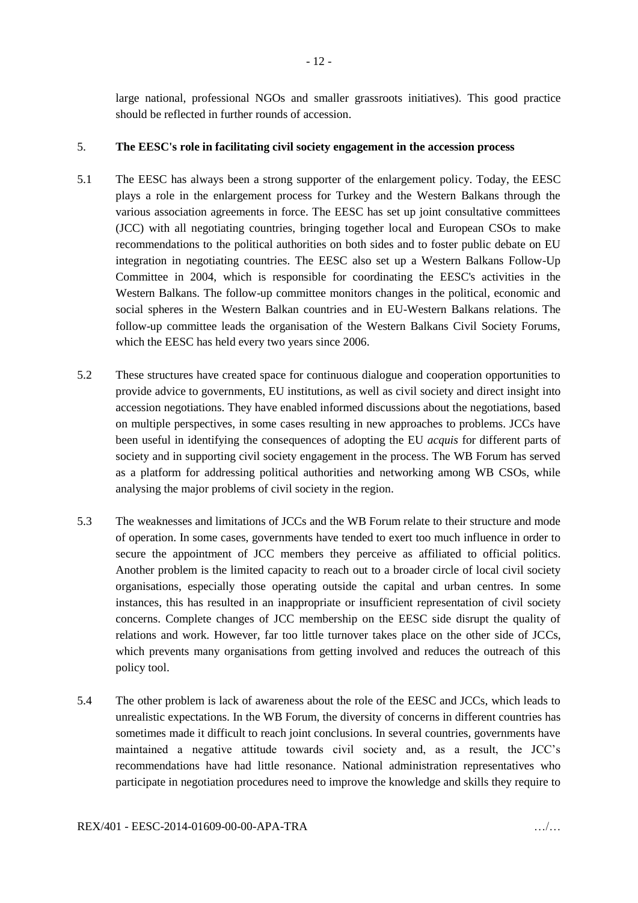large national, professional NGOs and smaller grassroots initiatives). This good practice should be reflected in further rounds of accession.

#### 5. **The EESC's role in facilitating civil society engagement in the accession process**

- 5.1 The EESC has always been a strong supporter of the enlargement policy. Today, the EESC plays a role in the enlargement process for Turkey and the Western Balkans through the various association agreements in force. The EESC has set up joint consultative committees (JCC) with all negotiating countries, bringing together local and European CSOs to make recommendations to the political authorities on both sides and to foster public debate on EU integration in negotiating countries. The EESC also set up a Western Balkans Follow-Up Committee in 2004, which is responsible for coordinating the EESC's activities in the Western Balkans. The follow-up committee monitors changes in the political, economic and social spheres in the Western Balkan countries and in EU-Western Balkans relations. The follow-up committee leads the organisation of the Western Balkans Civil Society Forums, which the EESC has held every two years since 2006.
- 5.2 These structures have created space for continuous dialogue and cooperation opportunities to provide advice to governments, EU institutions, as well as civil society and direct insight into accession negotiations. They have enabled informed discussions about the negotiations, based on multiple perspectives, in some cases resulting in new approaches to problems. JCCs have been useful in identifying the consequences of adopting the EU *acquis* for different parts of society and in supporting civil society engagement in the process. The WB Forum has served as a platform for addressing political authorities and networking among WB CSOs, while analysing the major problems of civil society in the region.
- 5.3 The weaknesses and limitations of JCCs and the WB Forum relate to their structure and mode of operation. In some cases, governments have tended to exert too much influence in order to secure the appointment of JCC members they perceive as affiliated to official politics. Another problem is the limited capacity to reach out to a broader circle of local civil society organisations, especially those operating outside the capital and urban centres. In some instances, this has resulted in an inappropriate or insufficient representation of civil society concerns. Complete changes of JCC membership on the EESC side disrupt the quality of relations and work. However, far too little turnover takes place on the other side of JCCs, which prevents many organisations from getting involved and reduces the outreach of this policy tool.
- 5.4 The other problem is lack of awareness about the role of the EESC and JCCs, which leads to unrealistic expectations. In the WB Forum, the diversity of concerns in different countries has sometimes made it difficult to reach joint conclusions. In several countries, governments have maintained a negative attitude towards civil society and, as a result, the JCC's recommendations have had little resonance. National administration representatives who participate in negotiation procedures need to improve the knowledge and skills they require to